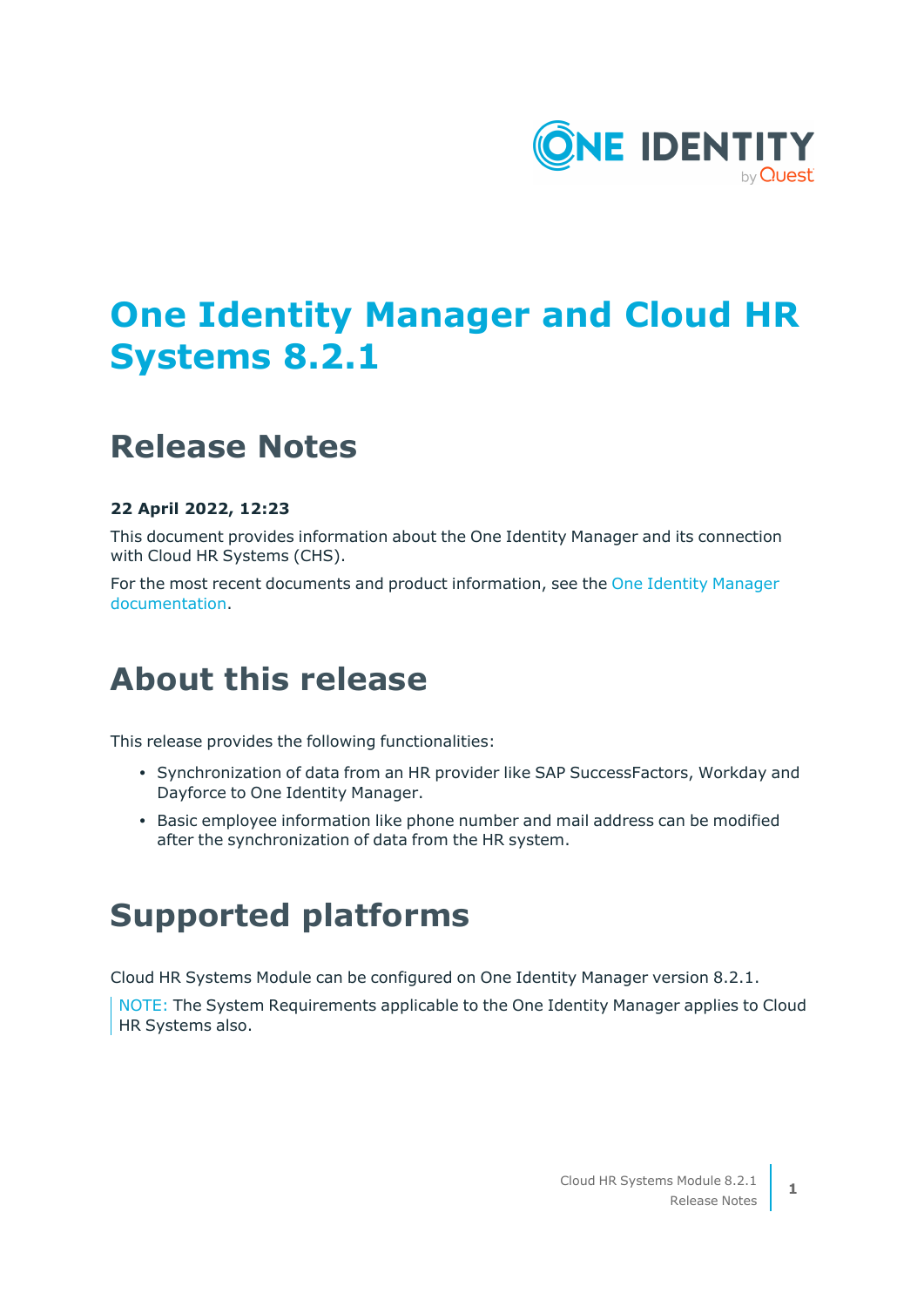

# **One Identity Manager and Cloud HR Systems 8.2.1**

## **Release Notes**

## **22 April 2022, 12:23**

This document provides information about the One Identity Manager and its connection with Cloud HR Systems (CHS).

For the most recent documents and product information, see the One Identity [Manager](https://support.oneidentity.com/identity-manager/8.1.5/technical-documents) [documentation](https://support.oneidentity.com/identity-manager/8.1.5/technical-documents).

# **About this release**

This release provides the following functionalities:

- Synchronization of data from an HR provider like SAP SuccessFactors, Workday and Dayforce to One Identity Manager.
- Basic employee information like phone number and mail address can be modified after the synchronization of data from the HR system.

## **Supported platforms**

Cloud HR Systems Module can be configured on One Identity Manager version 8.2.1.

NOTE: The System Requirements applicable to the One Identity Manager applies to Cloud HR Systems also.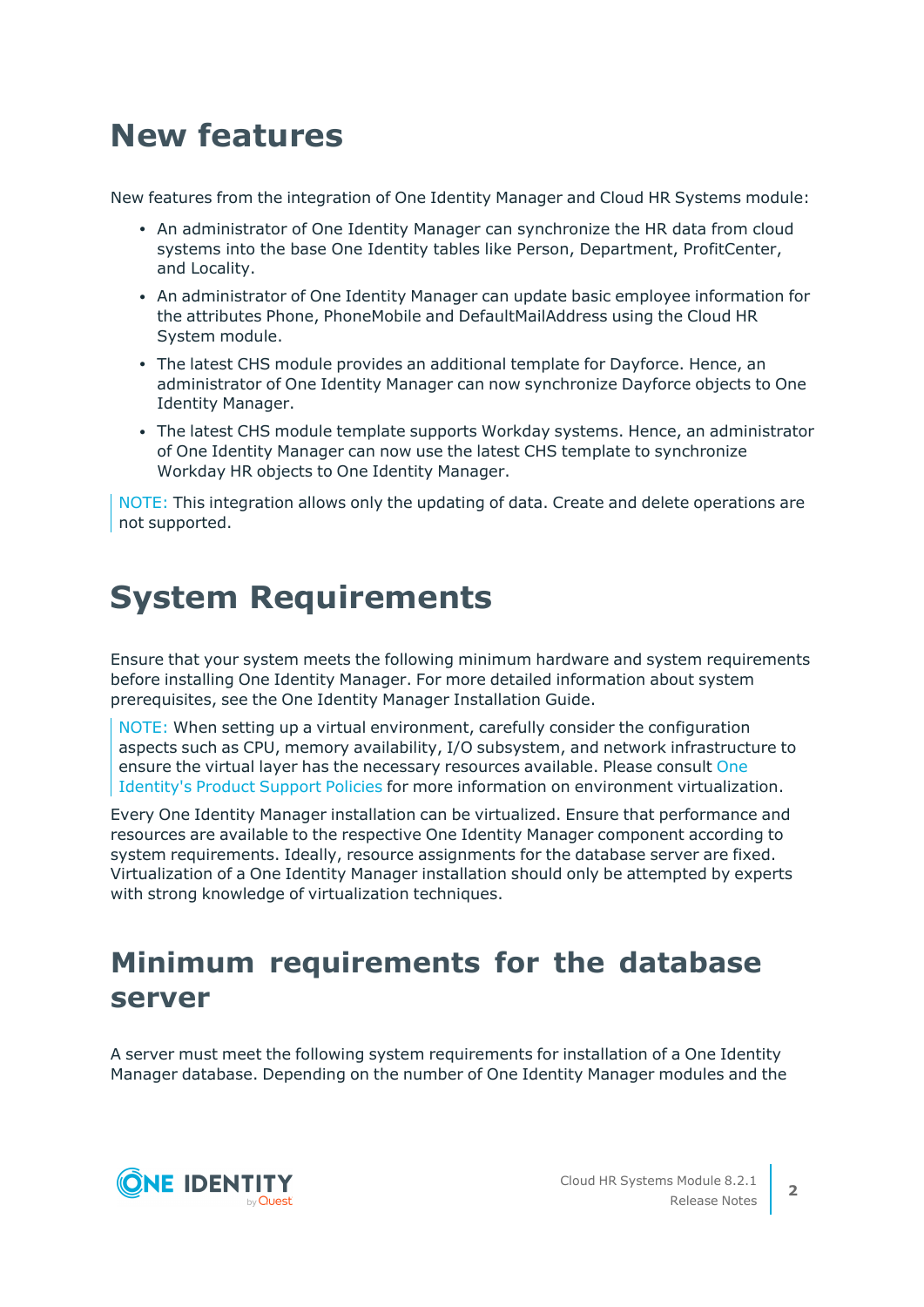# **New features**

New features from the integration of One Identity Manager and Cloud HR Systems module:

- An administrator of One Identity Manager can synchronize the HR data from cloud systems into the base One Identity tables like Person, Department, ProfitCenter, and Locality.
- An administrator of One Identity Manager can update basic employee information for the attributes Phone, PhoneMobile and DefaultMailAddress using the Cloud HR System module.
- The latest CHS module provides an additional template for Dayforce. Hence, an administrator of One Identity Manager can now synchronize Dayforce objects to One Identity Manager.
- The latest CHS module template supports Workday systems. Hence, an administrator of One Identity Manager can now use the latest CHS template to synchronize Workday HR objects to One Identity Manager.

NOTE: This integration allows only the updating of data. Create and delete operations are not supported.

# **System Requirements**

Ensure that your system meets the following minimum hardware and system requirements before installing One Identity Manager. For more detailed information about system prerequisites, see the One Identity Manager Installation Guide.

NOTE: When setting up a virtual environment, carefully consider the configuration aspects such as CPU, memory availability, I/O subsystem, and network infrastructure to ensure the virtual layer has the necessary resources available. Please consult [One](https://support.oneidentity.com/essentials/support-guide#tab3) [Identity's](https://support.oneidentity.com/essentials/support-guide#tab3) Product Support Policies for more information on environment virtualization.

Every One Identity Manager installation can be virtualized. Ensure that performance and resources are available to the respective One Identity Manager component according to system requirements. Ideally, resource assignments for the database server are fixed. Virtualization of a One Identity Manager installation should only be attempted by experts with strong knowledge of virtualization techniques.

## **Minimum requirements for the database server**

A server must meet the following system requirements for installation of a One Identity Manager database. Depending on the number of One Identity Manager modules and the

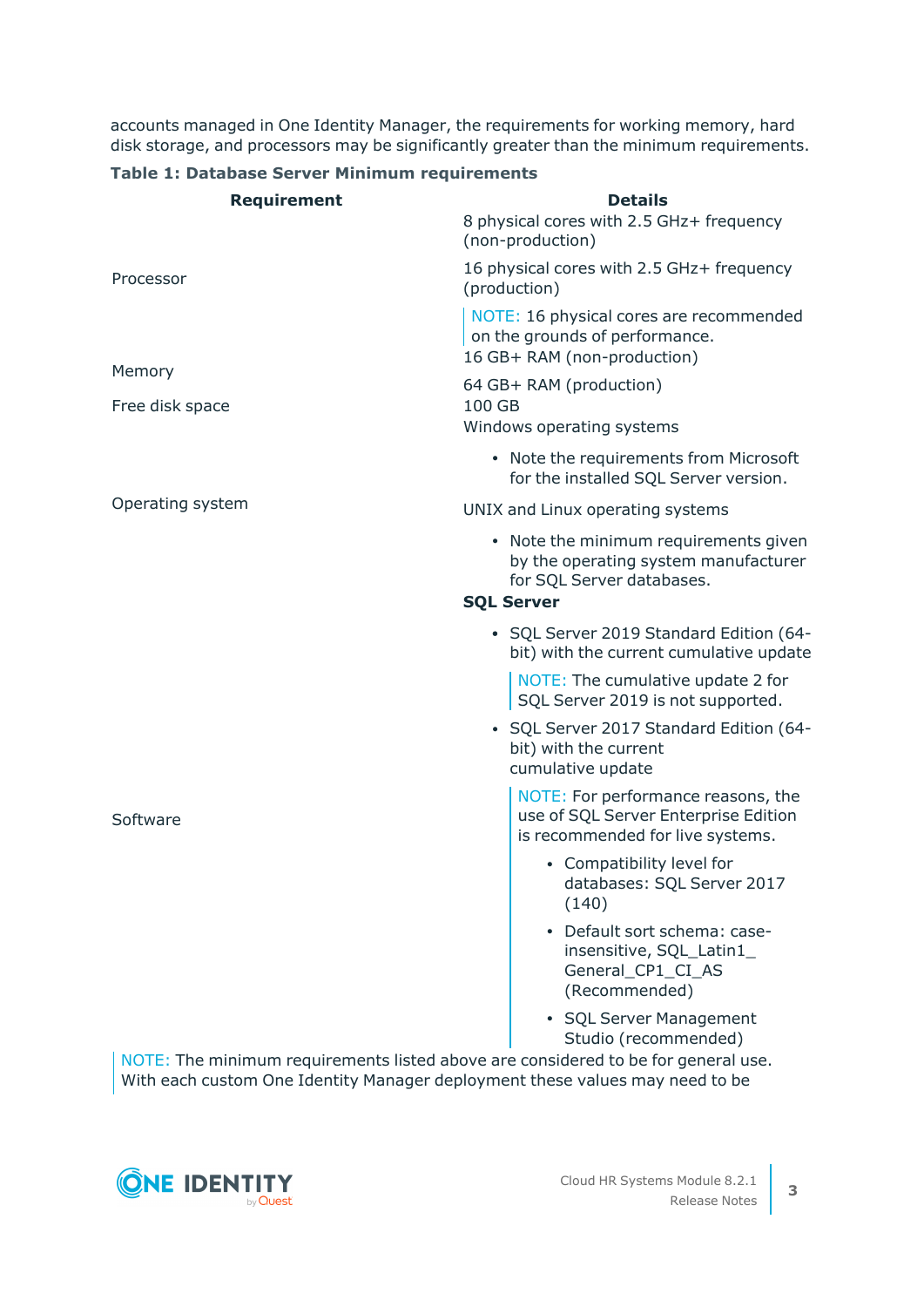accounts managed in One Identity Manager, the requirements for working memory, hard disk storage, and processors may be significantly greater than the minimum requirements.

| <b>Requirement</b> | <b>Details</b>                                                                                                                  |  |  |
|--------------------|---------------------------------------------------------------------------------------------------------------------------------|--|--|
|                    | 8 physical cores with 2.5 GHz+ frequency<br>(non-production)                                                                    |  |  |
| Processor          | 16 physical cores with 2.5 GHz+ frequency<br>(production)                                                                       |  |  |
|                    | NOTE: 16 physical cores are recommended<br>on the grounds of performance.<br>16 GB+ RAM (non-production)                        |  |  |
| Memory             | 64 GB+ RAM (production)                                                                                                         |  |  |
| Free disk space    | 100 GB<br>Windows operating systems                                                                                             |  |  |
|                    | • Note the requirements from Microsoft<br>for the installed SQL Server version.                                                 |  |  |
| Operating system   | UNIX and Linux operating systems                                                                                                |  |  |
|                    | • Note the minimum requirements given<br>by the operating system manufacturer<br>for SQL Server databases.<br><b>SQL Server</b> |  |  |
|                    | • SQL Server 2019 Standard Edition (64-<br>bit) with the current cumulative update                                              |  |  |
|                    | NOTE: The cumulative update 2 for<br>SQL Server 2019 is not supported.                                                          |  |  |
|                    | • SQL Server 2017 Standard Edition (64-<br>bit) with the current<br>cumulative update                                           |  |  |
| Software           | NOTE: For performance reasons, the<br>use of SQL Server Enterprise Edition<br>is recommended for live systems.                  |  |  |
|                    | • Compatibility level for<br>databases: SQL Server 2017<br>(140)                                                                |  |  |
|                    | Default sort schema: case-<br>insensitive, SQL_Latin1_<br>General_CP1_CI_AS<br>(Recommended)                                    |  |  |
|                    | • SQL Server Management<br>Studio (recommended)                                                                                 |  |  |

## **Table 1: Database Server Minimum requirements**

NOTE: The minimum requirements listed above are considered to be for general use. With each custom One Identity Manager deployment these values may need to be

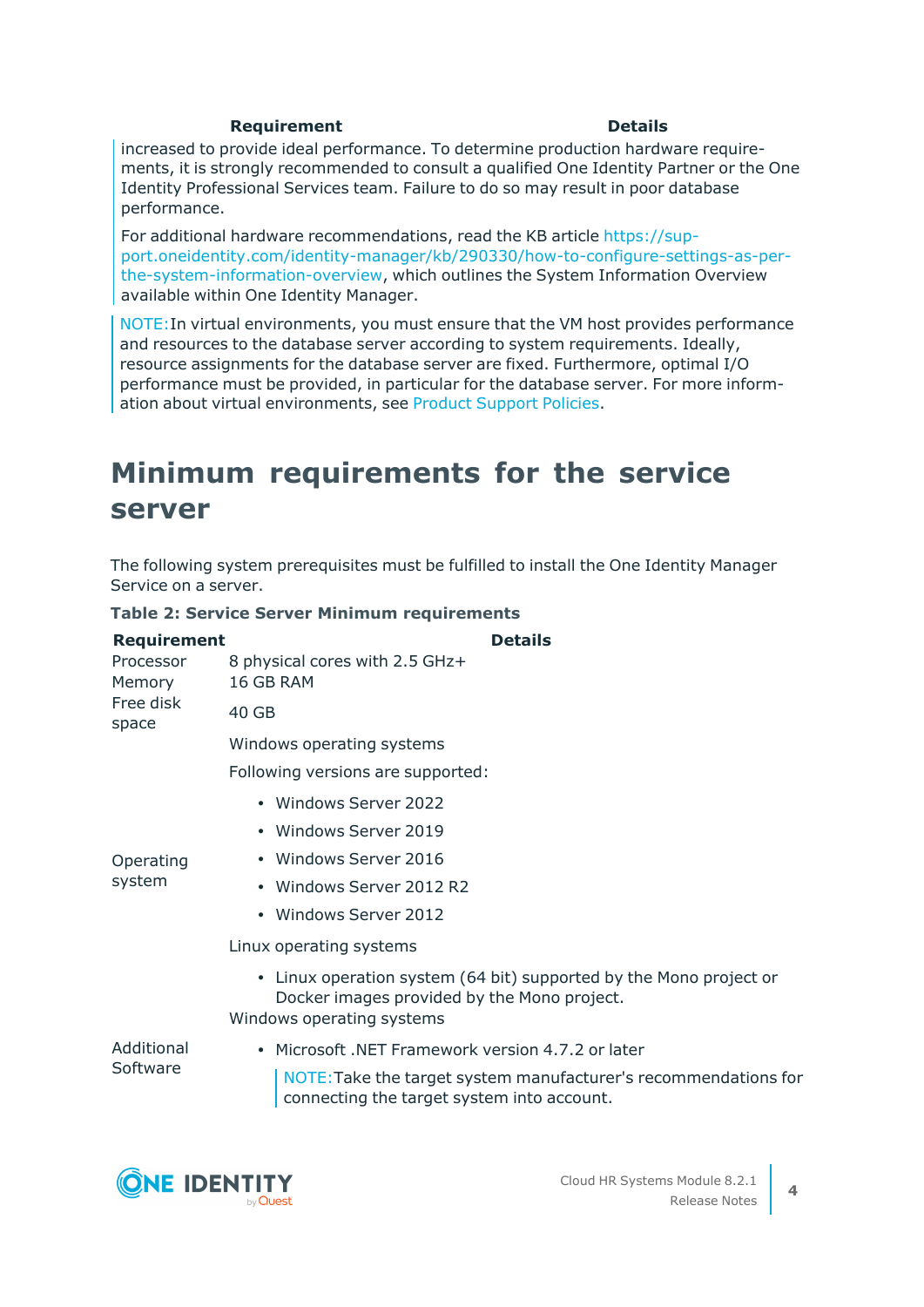## **Requirement Details**

increased to provide ideal performance. To determine production hardware requirements, it is strongly recommended to consult a qualified One Identity Partner or the One Identity Professional Services team. Failure to do so may result in poor database performance.

For additional hardware recommendations, read the KB article [https://sup](https://sup-port.oneidentity.com/identity-manager/kb/290330/how-to-configure-settings-as-per-the-system-information-overview)[port.oneidentity.com/identity-manager/kb/290330/how-to-configure-settings-as-per](https://sup-port.oneidentity.com/identity-manager/kb/290330/how-to-configure-settings-as-per-the-system-information-overview)[the-system-information-overview,](https://sup-port.oneidentity.com/identity-manager/kb/290330/how-to-configure-settings-as-per-the-system-information-overview) which outlines the System Information Overview available within One Identity Manager.

NOTE:In virtual environments, you must ensure that the VM host provides performance and resources to the database server according to system requirements. Ideally, resource assignments for the database server are fixed. Furthermore, optimal I/O performance must be provided, in particular for the database server. For more information about virtual environments, see Product [Support](https://support.oneidentity.com/essentials/support-guide) Policies.

## **Minimum requirements for the service server**

The following system prerequisites must be fulfilled to install the One Identity Manager Service on a server.

|  |  |  |  |  | Table 2: Service Server Minimum requirements |
|--|--|--|--|--|----------------------------------------------|
|--|--|--|--|--|----------------------------------------------|

| <b>Requirement</b>                        | <b>Details</b>                                                                                                                                 |
|-------------------------------------------|------------------------------------------------------------------------------------------------------------------------------------------------|
| Processor<br>Memory<br>Free disk<br>space | 8 physical cores with 2.5 GHz+<br>16 GB RAM                                                                                                    |
|                                           | 40 GB                                                                                                                                          |
|                                           | Windows operating systems                                                                                                                      |
|                                           | Following versions are supported:                                                                                                              |
|                                           | • Windows Server 2022                                                                                                                          |
|                                           | • Windows Server 2019                                                                                                                          |
| Operating<br>system                       | • Windows Server 2016                                                                                                                          |
|                                           | • Windows Server 2012 R2                                                                                                                       |
|                                           | • Windows Server 2012                                                                                                                          |
|                                           | Linux operating systems                                                                                                                        |
|                                           | • Linux operation system (64 bit) supported by the Mono project or<br>Docker images provided by the Mono project.<br>Windows operating systems |
| Additional<br>Software                    | • Microsoft .NET Framework version 4.7.2 or later                                                                                              |
|                                           | NOTE: Take the target system manufacturer's recommendations for<br>connecting the target system into account.                                  |
|                                           |                                                                                                                                                |

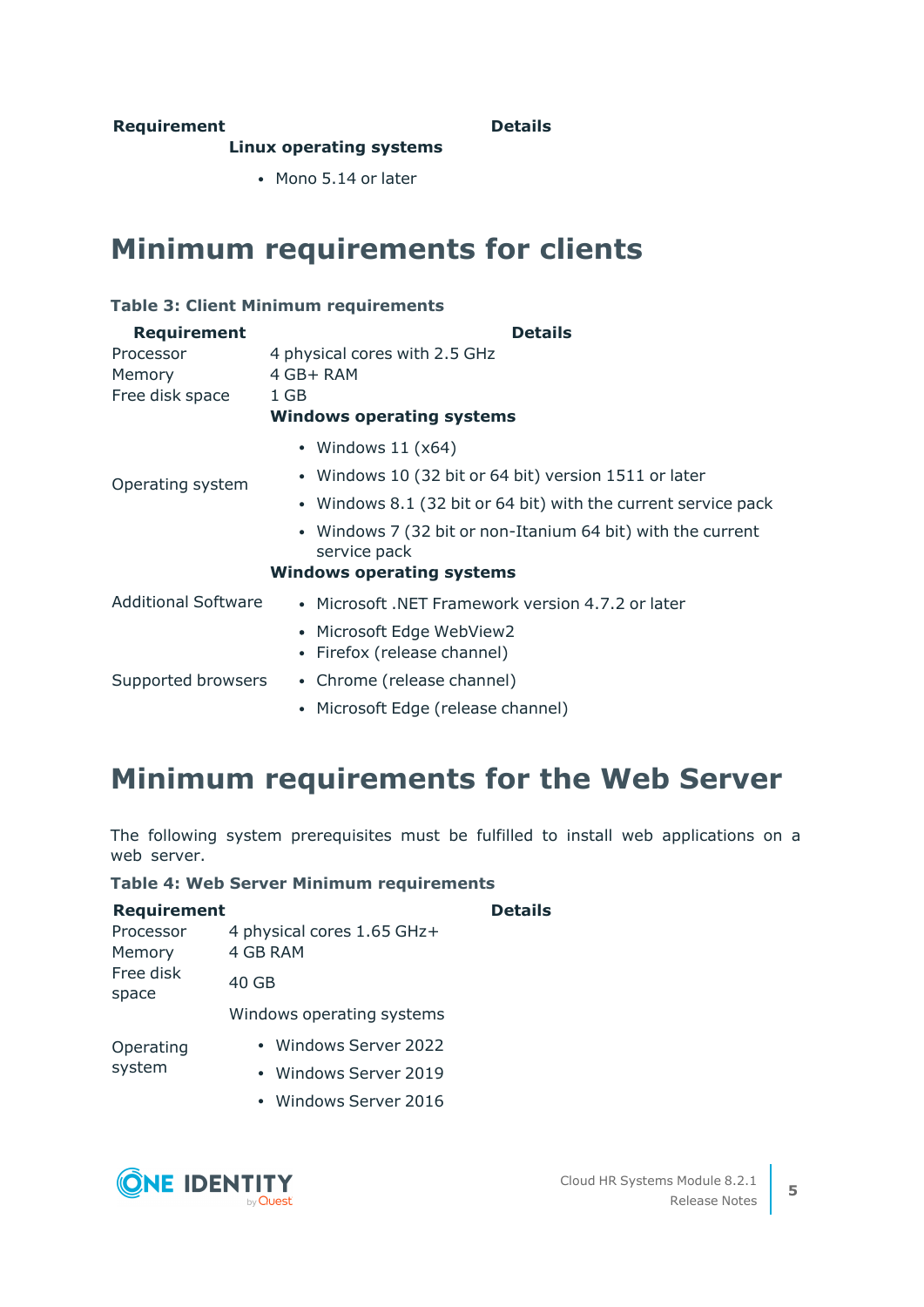## **Requirement Details**

### **Linux operating systems**

• Mono 5.14 or later

## **Minimum requirements for clients**

### **Table 3: Client Minimum requirements**

| <b>Requirement</b>         | <b>Details</b>                                                              |
|----------------------------|-----------------------------------------------------------------------------|
| Processor                  | 4 physical cores with 2.5 GHz                                               |
| Memory                     | 4 GB+ RAM                                                                   |
| Free disk space            | 1 GB                                                                        |
|                            | <b>Windows operating systems</b>                                            |
| Operating system           | • Windows $11(x64)$                                                         |
|                            | • Windows 10 (32 bit or 64 bit) version 1511 or later                       |
|                            | • Windows 8.1 (32 bit or 64 bit) with the current service pack              |
|                            | • Windows 7 (32 bit or non-Itanium 64 bit) with the current<br>service pack |
|                            | <b>Windows operating systems</b>                                            |
| <b>Additional Software</b> | • Microsoft, NET Framework version 4.7.2 or later                           |
|                            | • Microsoft Edge WebView2                                                   |
|                            | • Firefox (release channel)                                                 |
| Supported browsers         | • Chrome (release channel)                                                  |
|                            | • Microsoft Edge (release channel)                                          |

## **Minimum requirements for the Web Server**

The following system prerequisites must be fulfilled to install web applications on a web server.

### **Table 4: Web Server Minimum requirements**

| <b>Requirement</b>  |                                        | <b>Details</b> |
|---------------------|----------------------------------------|----------------|
| Processor<br>Memory | 4 physical cores 1.65 GHz+<br>4 GB RAM |                |
| Free disk<br>space  | 40 GB                                  |                |
|                     | Windows operating systems              |                |
| Operating           | • Windows Server 2022                  |                |
| system              | • Windows Server 2019                  |                |
|                     | • Windows Server 2016                  |                |

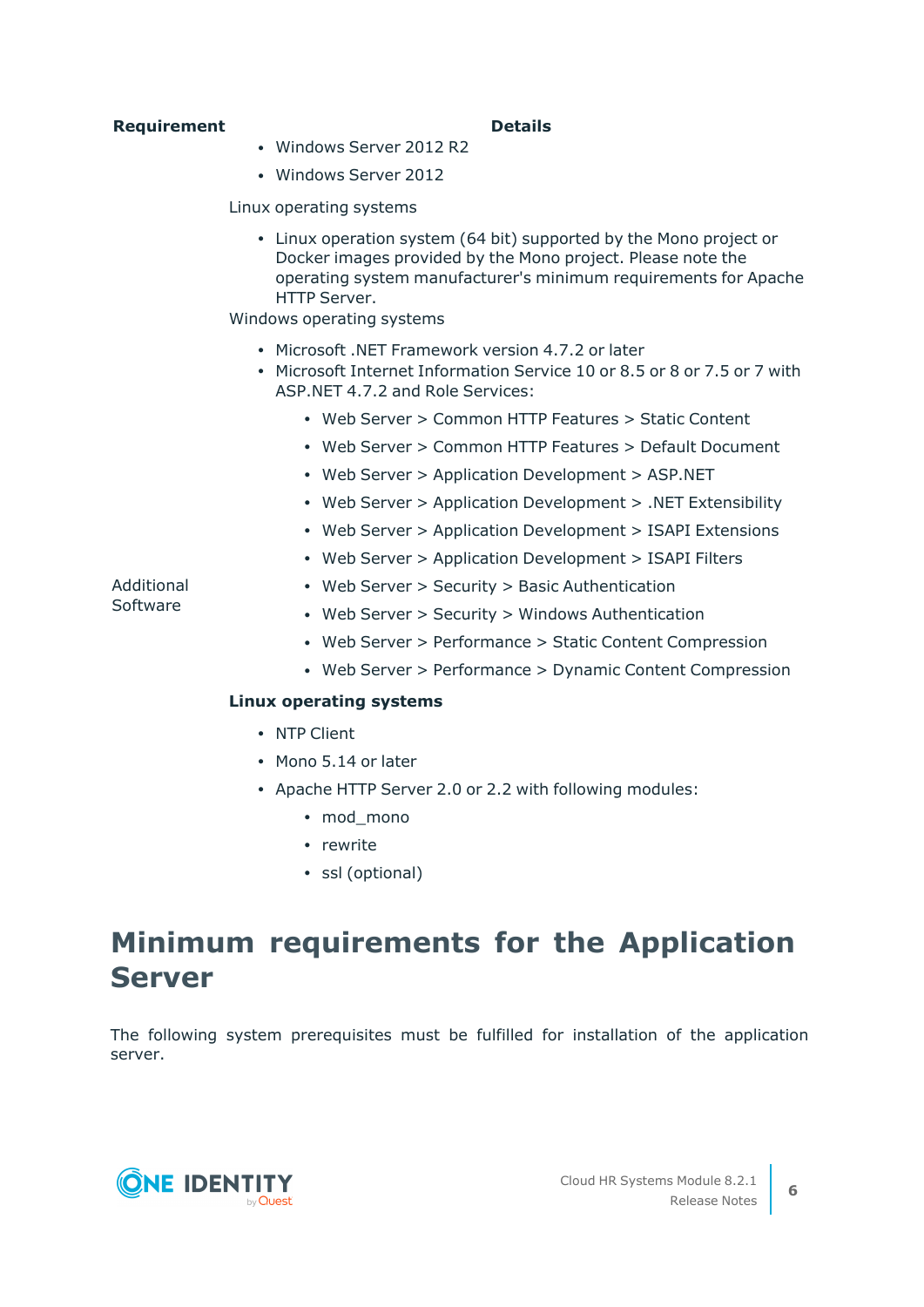## **Requirement Details**

- Windows Server 2012 R2
- Windows Server 2012

## Linux operating systems

• Linux operation system (64 bit) supported by the Mono project or Docker images provided by the Mono project. Please note the operating system manufacturer's minimum requirements for Apache HTTP Server.

Windows operating systems

- Microsoft .NET Framework version 4.7.2 or later
- $\bullet$  Microsoft Internet Information Service 10 or 8.5 or 8 or 7.5 or 7 with ASP.NET 4.7.2 and Role Services:
	- Web Server > Common HTTP Features > Static Content
	- Web Server > Common HTTP Features > Default Document
	- Web Server > Application Development > ASP.NET
	- Web Server > Application Development > .NET Extensibility
	- Web Server > Application Development > ISAPI Extensions
	- Web Server > Application Development > ISAPI Filters

### Additional Software

- Web Server > Security > Basic Authentication
- Web Server > Security > Windows Authentication
- Web Server > Performance > Static Content Compression
- Web Server > Performance > Dynamic Content Compression

## **Linux operating systems**

- NTP Client
- Mono 5.14 or later
- Apache HTTP Server 2.0 or 2.2 with following modules:
	- mod mono
	- rewrite
	- ssl (optional)

## **Minimum requirements for the Application Server**

The following system prerequisites must be fulfilled for installation of the application server.

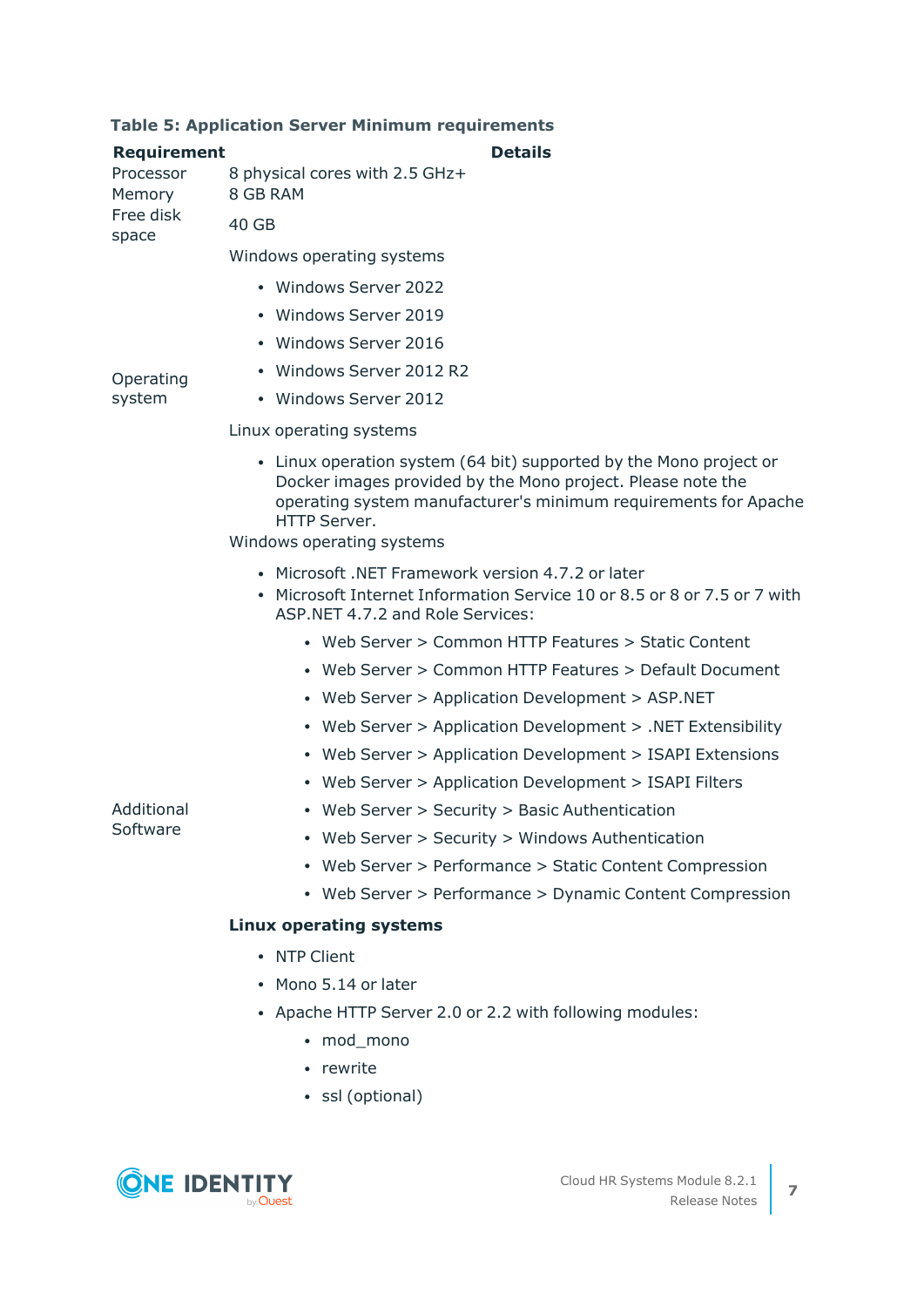## **Table 5: Application Server Minimum requirements**

| <b>Requirement</b>     | <b>Details</b>                                                                                                                                                                                                                                    |
|------------------------|---------------------------------------------------------------------------------------------------------------------------------------------------------------------------------------------------------------------------------------------------|
| Processor<br>Memory    | 8 physical cores with 2.5 GHz+<br>8 GB RAM                                                                                                                                                                                                        |
| Free disk<br>space     | 40 GB                                                                                                                                                                                                                                             |
|                        | Windows operating systems                                                                                                                                                                                                                         |
|                        | • Windows Server 2022                                                                                                                                                                                                                             |
|                        | • Windows Server 2019                                                                                                                                                                                                                             |
|                        | • Windows Server 2016                                                                                                                                                                                                                             |
| Operating              | • Windows Server 2012 R2                                                                                                                                                                                                                          |
| system                 | • Windows Server 2012                                                                                                                                                                                                                             |
|                        | Linux operating systems                                                                                                                                                                                                                           |
|                        | • Linux operation system (64 bit) supported by the Mono project or<br>Docker images provided by the Mono project. Please note the<br>operating system manufacturer's minimum requirements for Apache<br>HTTP Server.<br>Windows operating systems |
|                        | • Microsoft .NET Framework version 4.7.2 or later<br>Microsoft Internet Information Service 10 or 8.5 or 8 or 7.5 or 7 with<br>ASP.NET 4.7.2 and Role Services:                                                                                   |
|                        | • Web Server > Common HTTP Features > Static Content                                                                                                                                                                                              |
|                        | • Web Server > Common HTTP Features > Default Document                                                                                                                                                                                            |
|                        | • Web Server > Application Development > ASP.NET                                                                                                                                                                                                  |
|                        | • Web Server > Application Development > .NET Extensibility                                                                                                                                                                                       |
|                        | • Web Server > Application Development > ISAPI Extensions                                                                                                                                                                                         |
|                        | • Web Server > Application Development > ISAPI Filters                                                                                                                                                                                            |
| Additional<br>Software | • Web Server > Security > Basic Authentication                                                                                                                                                                                                    |
|                        | Web Server > Security > Windows Authentication                                                                                                                                                                                                    |
|                        | • Web Server > Performance > Static Content Compression                                                                                                                                                                                           |
|                        | • Web Server > Performance > Dynamic Content Compression                                                                                                                                                                                          |
|                        | <b>Linux operating systems</b>                                                                                                                                                                                                                    |
|                        | • NTP Client                                                                                                                                                                                                                                      |
|                        | • Mono 5.14 or later                                                                                                                                                                                                                              |
|                        | • Apache HTTP Server 2.0 or 2.2 with following modules:                                                                                                                                                                                           |
|                        | • mod_mono                                                                                                                                                                                                                                        |
|                        | • rewrite                                                                                                                                                                                                                                         |
|                        | • ssl (optional)                                                                                                                                                                                                                                  |

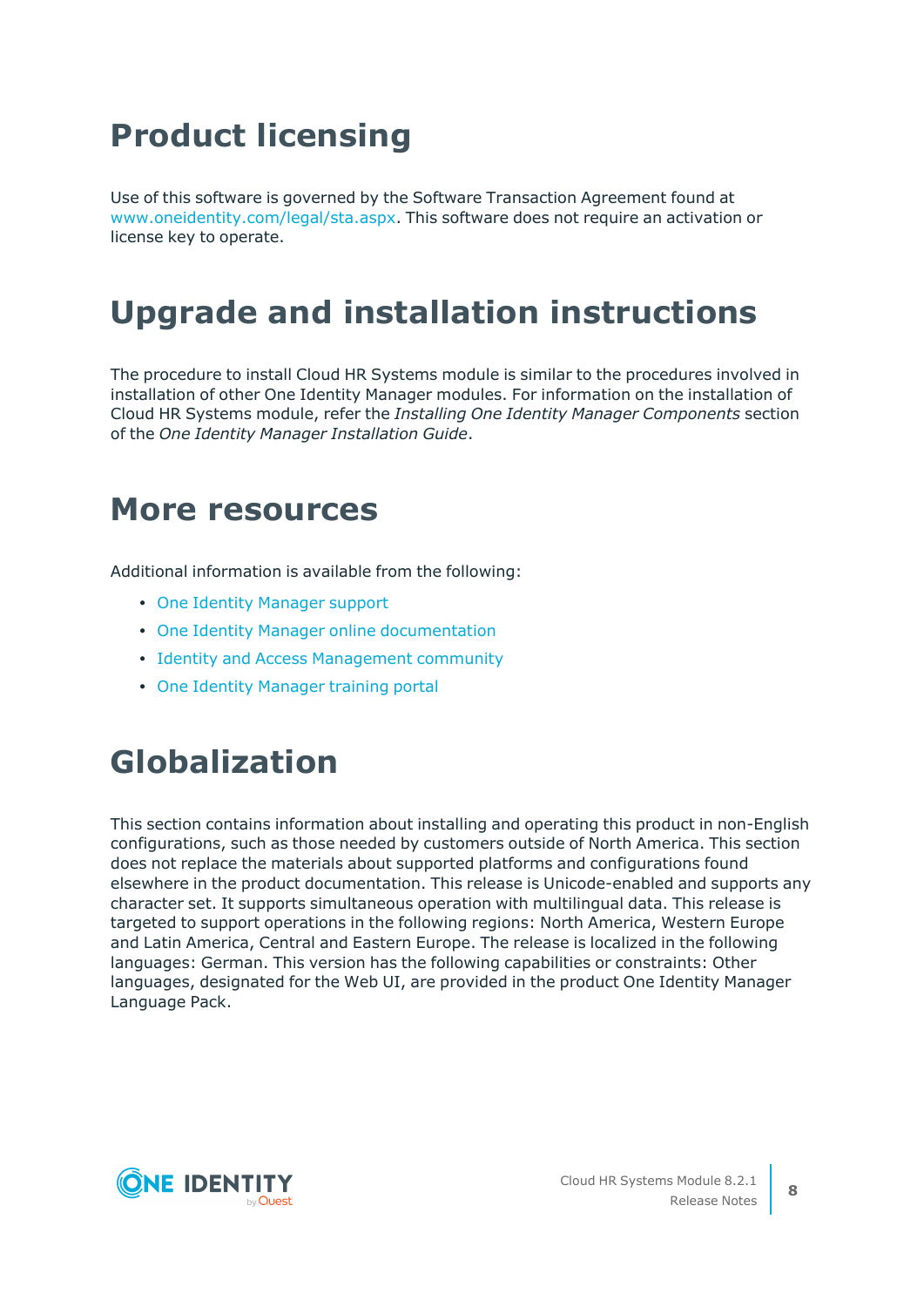# **Product licensing**

Use of this software is governed by the Software Transaction Agreement found at [www.oneidentity.com/legal/sta.aspx](http://www.oneidentity.com/legal/sta.aspx). This software does not require an activation or license key to operate.

# **Upgrade and installation instructions**

The procedure to install Cloud HR Systems module is similar to the procedures involved in installation of other One Identity Manager modules. For information on the installation of Cloud HR Systems module, refer the *Installing One Identity Manager Components* section of the *One Identity Manager Installation Guide*.

## **More resources**

Additional information is available from the following:

- One Identity [Manager](https://support.oneidentity.com/identity-manager/) support
- One Identity Manager online [documentation](https://support.oneidentity.com/identity-manager/technical-documents/)
- Identity and Access [Management](https://www.quest.com/community/one-identity/identity-manager/f/identity-manager-forum) community
- One Identity [Manager](https://support.oneidentity.com/identity-manager/training) training portal

# **Globalization**

This section contains information about installing and operating this product in non-English configurations, such as those needed by customers outside of North America. This section does not replace the materials about supported platforms and configurations found elsewhere in the product documentation. This release is Unicode-enabled and supports any character set. It supports simultaneous operation with multilingual data. This release is targeted to support operations in the following regions: North America, Western Europe and Latin America, Central and Eastern Europe. The release is localized in the following languages: German. This version has the following capabilities or constraints: Other languages, designated for the Web UI, are provided in the product One Identity Manager Language Pack.

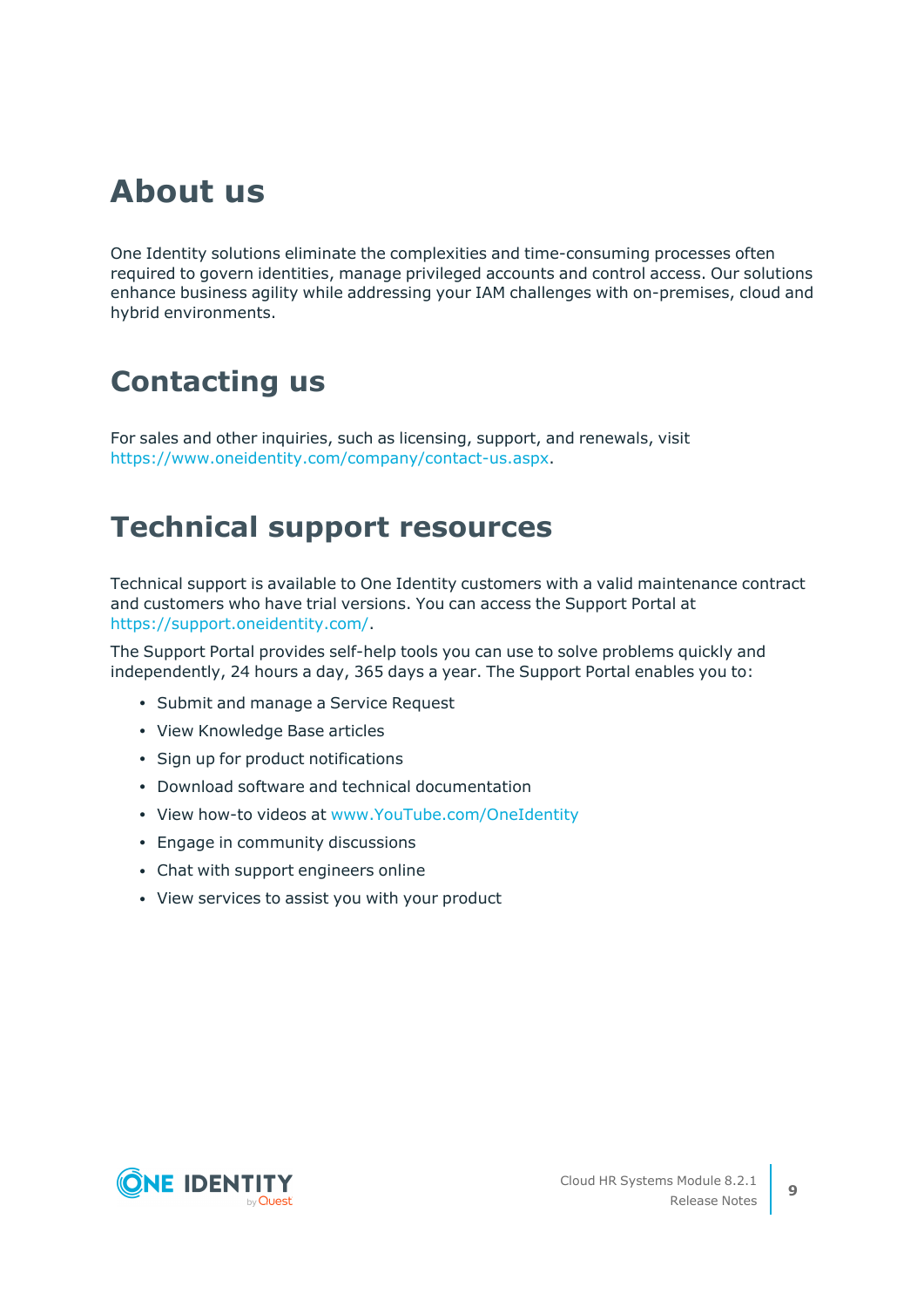# **About us**

One Identity solutions eliminate the complexities and time-consuming processes often required to govern identities, manage privileged accounts and control access. Our solutions enhance business agility while addressing your IAM challenges with on-premises, cloud and hybrid environments.

## **Contacting us**

For sales and other inquiries, such as licensing, support, and renewals, visit [https://www.oneidentity.com/company/contact-us.aspx.](https://www.oneidentity.com/company/contact-us.aspx)

## **Technical support resources**

Technical support is available to One Identity customers with a valid maintenance contract and customers who have trial versions. You can access the Support Portal at [https://support.oneidentity.com/.](https://support.oneidentity.com/)

The Support Portal provides self-help tools you can use to solve problems quickly and independently, 24 hours a day, 365 days a year. The Support Portal enables you to:

- Submit and manage a Service Request
- View Knowledge Base articles
- Sign up for product notifications
- Download software and technical documentation
- View how-to videos at [www.YouTube.com/OneIdentity](http://www.youtube.com/OneIdentity)
- Engage in community discussions
- Chat with support engineers online
- View services to assist you with your product